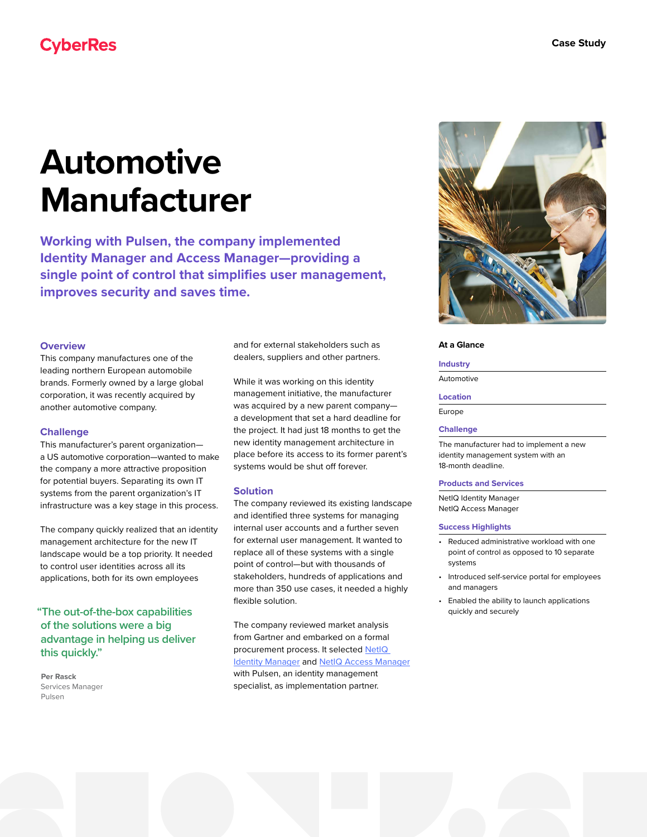## **CyberRes**

# **Automotive Manufacturer**

**Working with Pulsen, the company implemented Identity Manager and Access Manager—providing a single point of control that simplifies user management, improves security and saves time.**

#### **Overview**

This company manufactures one of the leading northern European automobile brands. Formerly owned by a large global corporation, it was recently acquired by another automotive company.

#### **Challenge**

This manufacturer's parent organization a US automotive corporation—wanted to make the company a more attractive proposition for potential buyers. Separating its own IT systems from the parent organization's IT infrastructure was a key stage in this process.

The company quickly realized that an identity management architecture for the new IT landscape would be a top priority. It needed to control user identities across all its applications, both for its own employees

## **"The out-of-the-box capabilities of the solutions were a big advantage in helping us deliver this quickly."**

**Per Rasck** Services Manager Pulsen

and for external stakeholders such as dealers, suppliers and other partners.

While it was working on this identity management initiative, the manufacturer was acquired by a new parent company a development that set a hard deadline for the project. It had just 18 months to get the new identity management architecture in place before its access to its former parent's systems would be shut off forever.

#### **Solution**

The company reviewed its existing landscape and identified three systems for managing internal user accounts and a further seven for external user management. It wanted to replace all of these systems with a single point of control—but with thousands of stakeholders, hundreds of applications and more than 350 use cases, it needed a highly flexible solution.

The company reviewed market analysis from Gartner and embarked on a formal procurement process. It selected [NetIQ](https://www.microfocus.com/en-us/cyberres/identity-access-management/identity-manager)  [Identity Manager](https://www.microfocus.com/en-us/cyberres/identity-access-management/identity-manager) and [NetIQ Access Manager](https://www.microfocus.com/en-us/cyberres/identity-access-management/access-manager) with Pulsen, an identity management specialist, as implementation partner.



#### **At a Glance**

#### **Industry**

Automotive

#### **Location**

Europe

#### **Challenge**

The manufacturer had to implement a new identity management system with an 18-month deadline.

#### **Products and Services**

NetIQ Identity Manager NetIQ Access Manager

#### **Success Highlights**

- Reduced administrative workload with one point of control as opposed to 10 separate systems
- Introduced self-service portal for employees and managers
- Enabled the ability to launch applications quickly and securely